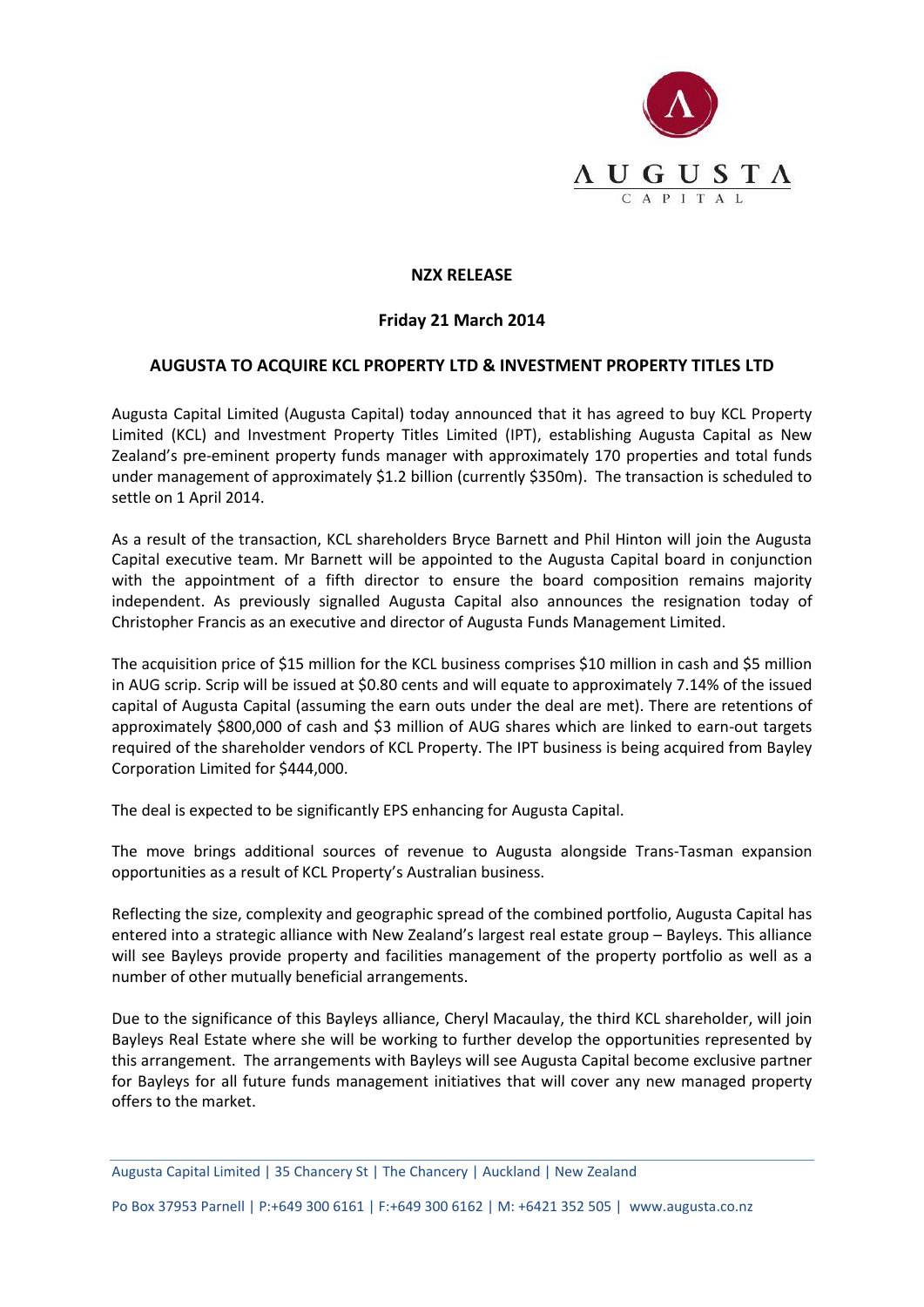

## **NZX RELEASE**

## **Friday 21 March 2014**

## **AUGUSTA TO ACQUIRE KCL PROPERTY LTD & INVESTMENT PROPERTY TITLES LTD**

Augusta Capital Limited (Augusta Capital) today announced that it has agreed to buy KCL Property Limited (KCL) and Investment Property Titles Limited (IPT), establishing Augusta Capital as New Zealand's pre-eminent property funds manager with approximately 170 properties and total funds under management of approximately \$1.2 billion (currently \$350m). The transaction is scheduled to settle on 1 April 2014.

As a result of the transaction, KCL shareholders Bryce Barnett and Phil Hinton will join the Augusta Capital executive team. Mr Barnett will be appointed to the Augusta Capital board in conjunction with the appointment of a fifth director to ensure the board composition remains majority independent. As previously signalled Augusta Capital also announces the resignation today of Christopher Francis as an executive and director of Augusta Funds Management Limited.

The acquisition price of \$15 million for the KCL business comprises \$10 million in cash and \$5 million in AUG scrip. Scrip will be issued at \$0.80 cents and will equate to approximately 7.14% of the issued capital of Augusta Capital (assuming the earn outs under the deal are met). There are retentions of approximately \$800,000 of cash and \$3 million of AUG shares which are linked to earn-out targets required of the shareholder vendors of KCL Property. The IPT business is being acquired from Bayley Corporation Limited for \$444,000.

The deal is expected to be significantly EPS enhancing for Augusta Capital.

The move brings additional sources of revenue to Augusta alongside Trans-Tasman expansion opportunities as a result of KCL Property's Australian business.

Reflecting the size, complexity and geographic spread of the combined portfolio, Augusta Capital has entered into a strategic alliance with New Zealand's largest real estate group – Bayleys. This alliance will see Bayleys provide property and facilities management of the property portfolio as well as a number of other mutually beneficial arrangements.

Due to the significance of this Bayleys alliance, Cheryl Macaulay, the third KCL shareholder, will join Bayleys Real Estate where she will be working to further develop the opportunities represented by this arrangement. The arrangements with Bayleys will see Augusta Capital become exclusive partner for Bayleys for all future funds management initiatives that will cover any new managed property offers to the market.

Po Box 37953 Parnell | P:+649 300 6161 | F:+649 300 6162 | M: +6421 352 505 | www.augusta.co.nz

Augusta Capital Limited | 35 Chancery St | The Chancery | Auckland | New Zealand